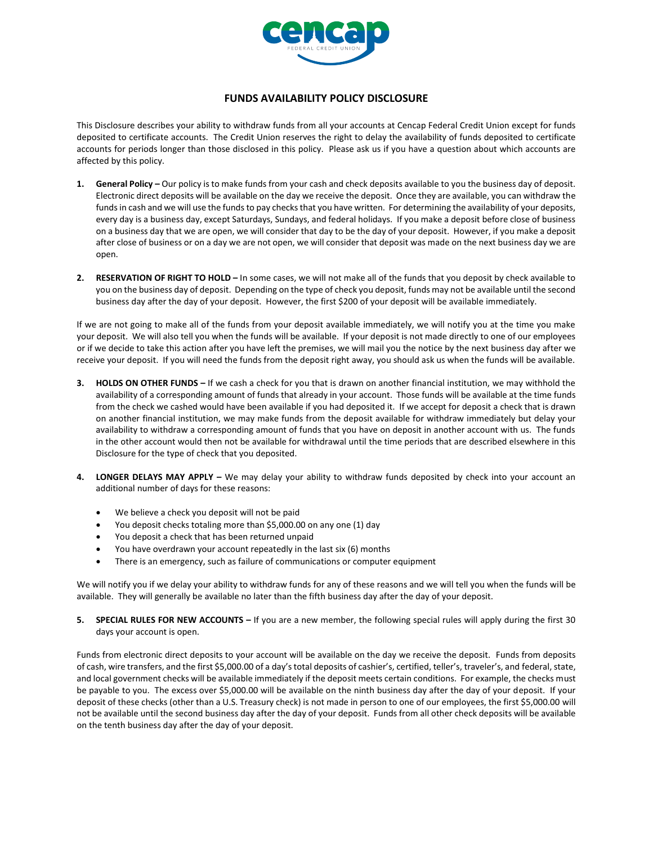

## **FUNDS AVAILABILITY POLICY DISCLOSURE**

This Disclosure describes your ability to withdraw funds from all your accounts at Cencap Federal Credit Union except for funds deposited to certificate accounts. The Credit Union reserves the right to delay the availability of funds deposited to certificate accounts for periods longer than those disclosed in this policy. Please ask us if you have a question about which accounts are affected by this policy.

- **1. General Policy –** Our policy is to make funds from your cash and check deposits available to you the business day of deposit. Electronic direct deposits will be available on the day we receive the deposit. Once they are available, you can withdraw the funds in cash and we will use the funds to pay checks that you have written. For determining the availability of your deposits, every day is a business day, except Saturdays, Sundays, and federal holidays. If you make a deposit before close of business on a business day that we are open, we will consider that day to be the day of your deposit. However, if you make a deposit after close of business or on a day we are not open, we will consider that deposit was made on the next business day we are open.
- **2. RESERVATION OF RIGHT TO HOLD –** In some cases, we will not make all of the funds that you deposit by check available to you on the business day of deposit. Depending on the type of check you deposit, funds may not be available until the second business day after the day of your deposit. However, the first \$200 of your deposit will be available immediately.

If we are not going to make all of the funds from your deposit available immediately, we will notify you at the time you make your deposit. We will also tell you when the funds will be available. If your deposit is not made directly to one of our employees or if we decide to take this action after you have left the premises, we will mail you the notice by the next business day after we receive your deposit. If you will need the funds from the deposit right away, you should ask us when the funds will be available.

- **3. HOLDS ON OTHER FUNDS –** If we cash a check for you that is drawn on another financial institution, we may withhold the availability of a corresponding amount of funds that already in your account. Those funds will be available at the time funds from the check we cashed would have been available if you had deposited it. If we accept for deposit a check that is drawn on another financial institution, we may make funds from the deposit available for withdraw immediately but delay your availability to withdraw a corresponding amount of funds that you have on deposit in another account with us. The funds in the other account would then not be available for withdrawal until the time periods that are described elsewhere in this Disclosure for the type of check that you deposited.
- **4. LONGER DELAYS MAY APPLY –** We may delay your ability to withdraw funds deposited by check into your account an additional number of days for these reasons:
	- We believe a check you deposit will not be paid
	- You deposit checks totaling more than \$5,000.00 on any one (1) day
	- You deposit a check that has been returned unpaid
	- You have overdrawn your account repeatedly in the last six (6) months
	- There is an emergency, such as failure of communications or computer equipment

We will notify you if we delay your ability to withdraw funds for any of these reasons and we will tell you when the funds will be available. They will generally be available no later than the fifth business day after the day of your deposit.

**5. SPECIAL RULES FOR NEW ACCOUNTS –** If you are a new member, the following special rules will apply during the first 30 days your account is open.

Funds from electronic direct deposits to your account will be available on the day we receive the deposit. Funds from deposits of cash, wire transfers, and the first \$5,000.00 of a day's total deposits of cashier's, certified, teller's, traveler's, and federal, state, and local government checks will be available immediately if the deposit meets certain conditions. For example, the checks must be payable to you. The excess over \$5,000.00 will be available on the ninth business day after the day of your deposit. If your deposit of these checks (other than a U.S. Treasury check) is not made in person to one of our employees, the first \$5,000.00 will not be available until the second business day after the day of your deposit. Funds from all other check deposits will be available on the tenth business day after the day of your deposit.